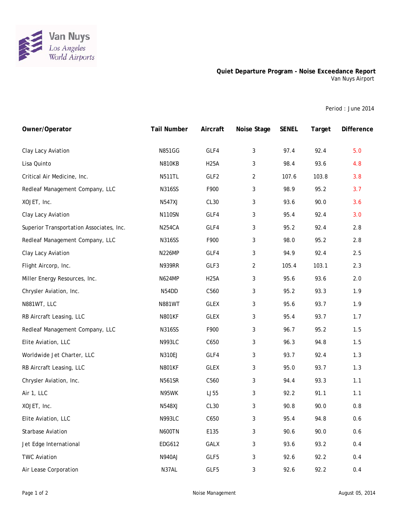

## **Quiet Departure Program - Noise Exceedance Report** Van Nuys Airport

Period : June 2014

| Owner/Operator                           | <b>Tail Number</b> | Aircraft         | Noise Stage    | <b>SENEL</b> | Target | <b>Difference</b> |
|------------------------------------------|--------------------|------------------|----------------|--------------|--------|-------------------|
| Clay Lacy Aviation                       | <b>N851GG</b>      | GLF4             | 3              | 97.4         | 92.4   | 5.0               |
| Lisa Quinto                              | <b>N810KB</b>      | <b>H25A</b>      | 3              | 98.4         | 93.6   | 4.8               |
| Critical Air Medicine, Inc.              | <b>N511TL</b>      | GLF2             | $\overline{2}$ | 107.6        | 103.8  | 3.8               |
| Redleaf Management Company, LLC          | <b>N316SS</b>      | F900             | 3              | 98.9         | 95.2   | 3.7               |
| XOJET, Inc.                              | <b>N547XJ</b>      | CL30             | 3              | 93.6         | 90.0   | 3.6               |
| Clay Lacy Aviation                       | <b>N110SN</b>      | GLF4             | 3              | 95.4         | 92.4   | 3.0               |
| Superior Transportation Associates, Inc. | <b>N254CA</b>      | GLF4             | 3              | 95.2         | 92.4   | 2.8               |
| Redleaf Management Company, LLC          | <b>N316SS</b>      | F900             | 3              | 98.0         | 95.2   | 2.8               |
| Clay Lacy Aviation                       | <b>N226MP</b>      | GLF4             | 3              | 94.9         | 92.4   | 2.5               |
| Flight Aircorp, Inc.                     | <b>N939RR</b>      | GLF3             | $\overline{2}$ | 105.4        | 103.1  | 2.3               |
| Miller Energy Resources, Inc.            | <b>N624MP</b>      | <b>H25A</b>      | 3              | 95.6         | 93.6   | 2.0               |
| Chrysler Aviation, Inc.                  | N54DD              | C560             | 3              | 95.2         | 93.3   | 1.9               |
| N881WT, LLC                              | <b>N881WT</b>      | <b>GLEX</b>      | 3              | 95.6         | 93.7   | 1.9               |
| RB Aircraft Leasing, LLC                 | <b>N801KF</b>      | <b>GLEX</b>      | 3              | 95.4         | 93.7   | 1.7               |
| Redleaf Management Company, LLC          | <b>N316SS</b>      | F900             | 3              | 96.7         | 95.2   | 1.5               |
| Elite Aviation, LLC                      | <b>N993LC</b>      | C650             | 3              | 96.3         | 94.8   | 1.5               |
| Worldwide Jet Charter, LLC               | N310EJ             | GLF4             | 3              | 93.7         | 92.4   | 1.3               |
| RB Aircraft Leasing, LLC                 | <b>N801KF</b>      | <b>GLEX</b>      | 3              | 95.0         | 93.7   | 1.3               |
| Chrysler Aviation, Inc.                  | <b>N561SR</b>      | C560             | 3              | 94.4         | 93.3   | 1.1               |
| Air 1, LLC                               | N95WK              | LJ55             | 3              | 92.2         | 91.1   | 1.1               |
| XOJET, Inc.                              | <b>N548XJ</b>      | CL <sub>30</sub> | 3              | 90.8         | 90.0   | 0.8               |
| Elite Aviation, LLC                      | <b>N993LC</b>      | C650             | 3              | 95.4         | 94.8   | 0.6               |
| <b>Starbase Aviation</b>                 | <b>N600TN</b>      | E135             | 3              | 90.6         | 90.0   | 0.6               |
| Jet Edge International                   | EDG612             | <b>GALX</b>      | 3              | 93.6         | 93.2   | 0.4               |
| <b>TWC Aviation</b>                      | <b>N940AJ</b>      | GLF5             | 3              | 92.6         | 92.2   | 0.4               |
| Air Lease Corporation                    | N37AL              | GLF5             | $\mathbf{3}$   | 92.6         | 92.2   | 0.4               |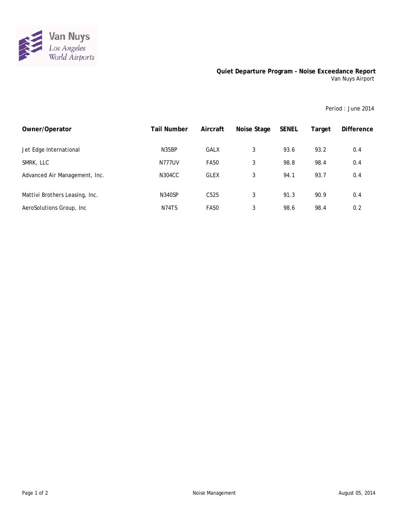

## **Quiet Departure Program - Noise Exceedance Report** Van Nuys Airport

Period : June 2014

| Owner/Operator                 | <b>Tail Number</b> | Aircraft         | Noise Stage | <b>SENEL</b> | Target | <b>Difference</b> |
|--------------------------------|--------------------|------------------|-------------|--------------|--------|-------------------|
| Jet Edge International         | N35BP              | <b>GALX</b>      | 3           | 93.6         | 93.2   | 0.4               |
| SMRK, LLC                      | <b>N777UV</b>      | <b>FA50</b>      | 3           | 98.8         | 98.4   | 0.4               |
| Advanced Air Management, Inc.  | N304CC             | <b>GLEX</b>      | 3           | 94.1         | 93.7   | 0.4               |
| Mattivi Brothers Leasing, Inc. | <b>N340SP</b>      | C <sub>525</sub> | 3           | 91.3         | 90.9   | 0.4               |
| AeroSolutions Group, Inc.      | N74TS              | <b>FA50</b>      | 3           | 98.6         | 98.4   | 0.2               |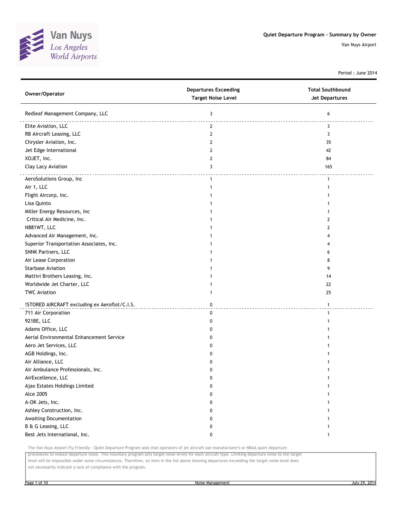

Period : June 2014

| Owner/Operator                                | <b>Departures Exceeding</b><br><b>Target Noise Level</b> | <b>Total Southbound</b><br><b>Jet Departures</b> |
|-----------------------------------------------|----------------------------------------------------------|--------------------------------------------------|
| Redleaf Management Company, LLC               | 3                                                        | 6                                                |
| Elite Aviation, LLC                           | $\mathbf{2}$                                             | 3                                                |
| RB Aircraft Leasing, LLC                      | 2                                                        | 3                                                |
| Chrysler Aviation, Inc.                       | 2                                                        | 35                                               |
| Jet Edge International                        | 2                                                        | 42                                               |
| XOJET, Inc.                                   | 2                                                        | 84                                               |
| Clay Lacy Aviation                            | 3                                                        | 165                                              |
| AeroSolutions Group, Inc                      | $\mathbf{1}$                                             |                                                  |
| Air 1, LLC                                    | 1                                                        |                                                  |
| Flight Aircorp, Inc.                          |                                                          |                                                  |
| Lisa Quinto                                   |                                                          |                                                  |
| Miller Energy Resources, Inc                  |                                                          |                                                  |
| Critical Air Medicine, Inc.                   |                                                          | 2                                                |
| N881WT, LLC                                   |                                                          | 2                                                |
| Advanced Air Management, Inc.                 |                                                          |                                                  |
| Superior Transportation Associates, Inc.      |                                                          |                                                  |
| SNNK Partners, LLC                            |                                                          | 6                                                |
| Air Lease Corporation                         |                                                          | 8                                                |
| <b>Starbase Aviation</b>                      |                                                          | 9                                                |
| Mattivi Brothers Leasing, Inc.                |                                                          | 14                                               |
| Worldwide Jet Charter, LLC                    |                                                          | 22                                               |
| <b>TWC Aviation</b>                           | 1                                                        | 25                                               |
| !STORED AIRCRAFT excluding ex Aeroflot/C.I.S. | 0                                                        | $\mathbf{1}$                                     |
| 711 Air Corporation                           | 0                                                        | 1                                                |
| 921BE, LLC                                    | 0                                                        |                                                  |
| Adams Office, LLC                             | 0                                                        |                                                  |
| Aerial Environmental Enhancement Service      | 0                                                        |                                                  |
| Aero Jet Services, LLC                        | 0                                                        |                                                  |
| AGB Holdings, Inc.                            | 0                                                        |                                                  |
| Air Alliance, LLC                             | 0                                                        |                                                  |
| Air Ambulance Professionals, Inc.             | ŋ                                                        |                                                  |
| AirExcellence, LLC                            | 0                                                        |                                                  |
| Ajax Estates Holdings Limited                 | 0                                                        |                                                  |
| <b>Alce 2005</b>                              | 0                                                        |                                                  |
| A-OK Jets, Inc.                               | 0                                                        |                                                  |
| Ashley Construction, Inc.                     | 0                                                        |                                                  |
| Awaiting Documentation                        | 0                                                        |                                                  |
| B & G Leasing, LLC                            | 0                                                        |                                                  |
| Best Jets International, Inc.                 | 0                                                        |                                                  |

The Van Nuys Airport Fly Friendly - Quiet Departure Program asks that operators of jet aircraft use manufacturer's or NBAA quiet departure

procedures to reduce departure noise. This voluntary program sets target noise levels for each aircraft type. Limiting departure noise to the target level will be impossible under some circumstances. Therefore, an item in the list above showing departures exceeding the target noise level does

not necessarily indicate a lack of compliance with the program.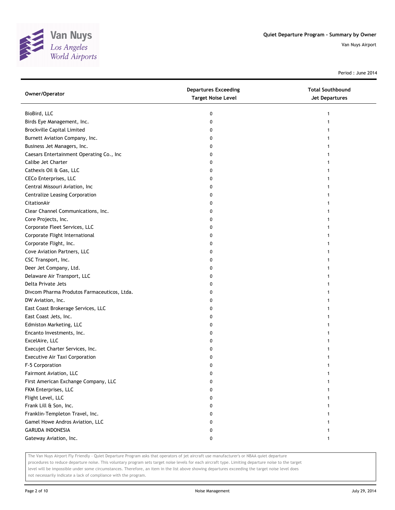

Period : June 2014

| Owner/Operator                              | <b>Departures Exceeding</b><br><b>Target Noise Level</b> | <b>Total Southbound</b><br>Jet Departures |
|---------------------------------------------|----------------------------------------------------------|-------------------------------------------|
| BioBird, LLC                                | 0                                                        |                                           |
| Birds Eye Management, Inc.                  | 0                                                        |                                           |
| <b>Brockville Capital Limited</b>           | 0                                                        |                                           |
| Burnett Aviation Company, Inc.              | 0                                                        |                                           |
| Business Jet Managers, Inc.                 | 0                                                        |                                           |
| Caesars Entertainment Operating Co., Inc    | 0                                                        |                                           |
| Calibe Jet Charter                          | 0                                                        |                                           |
| Cathexis Oil & Gas, LLC                     | 0                                                        |                                           |
| <b>CECo Enterprises, LLC</b>                | 0                                                        |                                           |
| Central Missouri Aviation, Inc              | 0                                                        |                                           |
| Centralize Leasing Corporation              | 0                                                        |                                           |
| CitationAir                                 | 0                                                        |                                           |
| Clear Channel Communications, Inc.          | 0                                                        |                                           |
| Core Projects, Inc.                         | 0                                                        |                                           |
| Corporate Fleet Services, LLC               | 0                                                        |                                           |
| Corporate Flight International              | 0                                                        |                                           |
| Corporate Flight, Inc.                      | 0                                                        |                                           |
| Cove Aviation Partners, LLC                 | 0                                                        |                                           |
| CSC Transport, Inc.                         | 0                                                        |                                           |
| Deer Jet Company, Ltd.                      | 0                                                        |                                           |
| Delaware Air Transport, LLC                 | 0                                                        |                                           |
| Delta Private Jets                          | 0                                                        |                                           |
| Divcom Pharma Produtos Farmaceuticos, Ltda. | 0                                                        |                                           |
| DW Aviation, Inc.                           | 0                                                        |                                           |
| East Coast Brokerage Services, LLC          | 0                                                        |                                           |
| East Coast Jets, Inc.                       | 0                                                        |                                           |
| Edmiston Marketing, LLC                     | 0                                                        |                                           |
| Encanto Investments, Inc.                   | 0                                                        |                                           |
| ExcelAire, LLC                              | 0                                                        |                                           |
| Execujet Charter Services, Inc.             | 0                                                        |                                           |
| <b>Executive Air Taxi Corporation</b>       | 0                                                        |                                           |
| F-5 Corporation                             | 0                                                        |                                           |
| Fairmont Aviation, LLC                      | 0                                                        |                                           |
| First American Exchange Company, LLC        | 0                                                        |                                           |
| FKM Enterprises, LLC                        | 0                                                        |                                           |
| Flight Level, LLC                           | 0                                                        |                                           |
| Frank Lill & Son, Inc.                      | 0                                                        |                                           |
| Franklin-Templeton Travel, Inc.             | 0                                                        |                                           |
| Gamel Howe Andros Aviation, LLC             | 0                                                        |                                           |
| <b>GARUDA INDONESIA</b>                     | 0                                                        |                                           |
| Gateway Aviation, Inc.                      | 0                                                        | 1                                         |

The Van Nuys Airport Fly Friendly - Quiet Departure Program asks that operators of jet aircraft use manufacturer's or NBAA quiet departure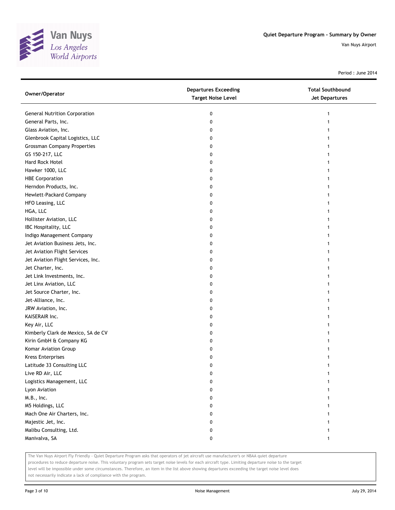

Period : June 2014

| Owner/Operator                       | <b>Departures Exceeding</b><br><b>Target Noise Level</b> | <b>Total Southbound</b><br><b>Jet Departures</b> |
|--------------------------------------|----------------------------------------------------------|--------------------------------------------------|
| <b>General Nutrition Corporation</b> | 0                                                        | 1                                                |
| General Parts, Inc.                  | 0                                                        |                                                  |
| Glass Aviation, Inc.                 | 0                                                        |                                                  |
| Glenbrook Capital Logistics, LLC     | 0                                                        |                                                  |
| <b>Grossman Company Properties</b>   | 0                                                        |                                                  |
| GS 150-217, LLC                      | 0                                                        |                                                  |
| Hard Rock Hotel                      | 0                                                        |                                                  |
| Hawker 1000, LLC                     | 0                                                        |                                                  |
| <b>HBE Corporation</b>               | 0                                                        |                                                  |
| Herndon Products, Inc.               | 0                                                        |                                                  |
| Hewlett-Packard Company              | 0                                                        |                                                  |
| HFO Leasing, LLC                     | 0                                                        |                                                  |
| HGA, LLC                             | 0                                                        |                                                  |
| Hollister Aviation, LLC              | 0                                                        |                                                  |
| IBC Hospitality, LLC                 | 0                                                        |                                                  |
| Indigo Management Company            | 0                                                        |                                                  |
| Jet Aviation Business Jets, Inc.     | 0                                                        |                                                  |
| Jet Aviation Flight Services         | 0                                                        |                                                  |
| Jet Aviation Flight Services, Inc.   | 0                                                        |                                                  |
| Jet Charter, Inc.                    | 0                                                        |                                                  |
| Jet Link Investments, Inc.           | 0                                                        |                                                  |
| Jet Linx Aviation, LLC               | 0                                                        |                                                  |
| Jet Source Charter, Inc.             | 0                                                        |                                                  |
| Jet-Alliance, Inc.                   | 0                                                        |                                                  |
| JRW Aviation, Inc.                   | 0                                                        | 1                                                |
| KAISERAIR Inc.                       | 0                                                        |                                                  |
| Key Air, LLC                         | 0                                                        |                                                  |
| Kimberly Clark de Mexico, SA de CV   | 0                                                        |                                                  |
| Kirin GmbH & Company KG              | 0                                                        |                                                  |
| Komar Aviation Group                 | 0                                                        |                                                  |
| <b>Kress Enterprises</b>             | 0                                                        |                                                  |
| Latitude 33 Consulting LLC           | 0                                                        |                                                  |
| Live RD Air, LLC                     | 0                                                        |                                                  |
| Logistics Management, LLC            | 0                                                        |                                                  |
| Lyon Aviation                        | 0                                                        |                                                  |
| M.B., Inc.                           | 0                                                        |                                                  |
| M5 Holdings, LLC                     | 0                                                        |                                                  |
| Mach One Air Charters, Inc.          | 0                                                        |                                                  |
| Majestic Jet, Inc.                   | 0                                                        |                                                  |
| Malibu Consulting, Ltd.              | 0                                                        |                                                  |
| Manivalva, SA                        | 0                                                        |                                                  |

The Van Nuys Airport Fly Friendly - Quiet Departure Program asks that operators of jet aircraft use manufacturer's or NBAA quiet departure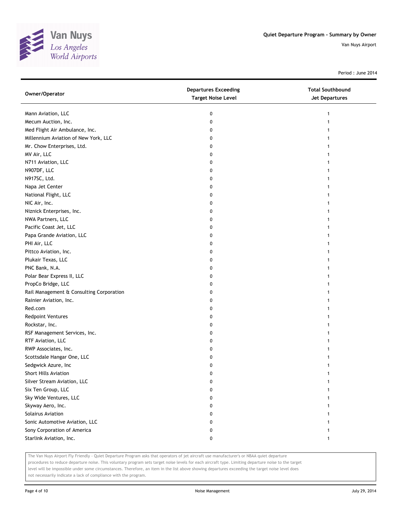

Period : June 2014

| Owner/Operator                           | <b>Departures Exceeding</b><br><b>Target Noise Level</b> | <b>Total Southbound</b><br>Jet Departures |
|------------------------------------------|----------------------------------------------------------|-------------------------------------------|
| Mann Aviation, LLC                       | 0                                                        | 1                                         |
| Mecum Auction, Inc.                      | 0                                                        |                                           |
| Med Flight Air Ambulance, Inc.           | 0                                                        |                                           |
| Millennium Aviation of New York, LLC     | 0                                                        |                                           |
| Mr. Chow Enterprises, Ltd.               | 0                                                        |                                           |
| MV Air, LLC                              | 0                                                        |                                           |
| N711 Aviation, LLC                       | 0                                                        |                                           |
| N907DF, LLC                              | 0                                                        |                                           |
| N917SC, Ltd.                             | 0                                                        |                                           |
| Napa Jet Center                          | 0                                                        |                                           |
| National Flight, LLC                     | 0                                                        |                                           |
| NIC Air, Inc.                            | 0                                                        |                                           |
| Niznick Enterprises, Inc.                | 0                                                        |                                           |
| NWA Partners, LLC                        | 0                                                        |                                           |
| Pacific Coast Jet, LLC                   | 0                                                        |                                           |
| Papa Grande Aviation, LLC                | 0                                                        |                                           |
| PHI Air, LLC                             | 0                                                        |                                           |
| Pittco Aviation, Inc.                    | 0                                                        |                                           |
| Plukair Texas, LLC                       | 0                                                        |                                           |
| PNC Bank, N.A.                           | 0                                                        |                                           |
| Polar Bear Express II, LLC               | 0                                                        |                                           |
| PropCo Bridge, LLC                       | 0                                                        |                                           |
| Rail Management & Consulting Corporation | 0                                                        |                                           |
| Rainier Aviation, Inc.                   | 0                                                        |                                           |
| Red.com                                  | 0                                                        |                                           |
| <b>Redpoint Ventures</b>                 | 0                                                        |                                           |
| Rockstar, Inc.                           | 0                                                        |                                           |
| RSF Management Services, Inc.            | 0                                                        |                                           |
| RTF Aviation, LLC                        | 0                                                        |                                           |
| RWP Associates, Inc.                     | 0                                                        |                                           |
| Scottsdale Hangar One, LLC               | 0                                                        |                                           |
| Sedgwick Azure, Inc                      | 0                                                        |                                           |
| Short Hills Aviation                     | 0                                                        |                                           |
| Silver Stream Aviation, LLC              | 0                                                        |                                           |
| Six Ten Group, LLC                       | 0                                                        |                                           |
| Sky Wide Ventures, LLC                   | 0                                                        |                                           |
| Skyway Aero, Inc.                        | 0                                                        |                                           |
| Solairus Aviation                        | 0                                                        |                                           |
| Sonic Automotive Aviation, LLC           | 0                                                        |                                           |
| Sony Corporation of America              | 0                                                        |                                           |
| Starlink Aviation, Inc.                  | 0                                                        |                                           |

The Van Nuys Airport Fly Friendly - Quiet Departure Program asks that operators of jet aircraft use manufacturer's or NBAA quiet departure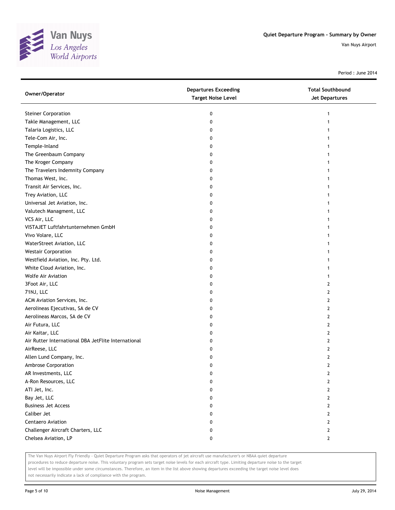

Period : June 2014

| Owner/Operator                                      | <b>Departures Exceeding</b><br><b>Target Noise Level</b> | <b>Total Southbound</b><br>Jet Departures |
|-----------------------------------------------------|----------------------------------------------------------|-------------------------------------------|
| <b>Steiner Corporation</b>                          | 0                                                        | 1                                         |
| Takle Management, LLC                               | 0                                                        |                                           |
| Talaria Logistics, LLC                              | 0                                                        |                                           |
| Tele-Com Air, Inc.                                  | 0                                                        |                                           |
| Temple-Inland                                       | 0                                                        |                                           |
| The Greenbaum Company                               | 0                                                        |                                           |
| The Kroger Company                                  | 0                                                        |                                           |
| The Travelers Indemnity Company                     | 0                                                        |                                           |
| Thomas West, Inc.                                   | 0                                                        |                                           |
| Transit Air Services, Inc.                          | 0                                                        |                                           |
| Trey Aviation, LLC                                  | 0                                                        |                                           |
| Universal Jet Aviation, Inc.                        | 0                                                        |                                           |
| Valutech Managment, LLC                             | 0                                                        |                                           |
| VCS Air, LLC                                        | 0                                                        |                                           |
| VISTAJET Luftfahrtunternehmen GmbH                  | 0                                                        |                                           |
| Vivo Volare, LLC                                    | 0                                                        |                                           |
| WaterStreet Aviation, LLC                           | 0                                                        |                                           |
| <b>Westair Corporation</b>                          | 0                                                        |                                           |
| Westfield Aviation, Inc. Pty. Ltd.                  | 0                                                        |                                           |
| White Cloud Aviation, Inc.                          | 0                                                        |                                           |
| <b>Wolfe Air Aviation</b>                           | 0                                                        |                                           |
| 3Foot Air, LLC                                      | 0                                                        | 2                                         |
| 71NJ, LLC                                           | 0                                                        | 2                                         |
| ACM Aviation Services, Inc.                         | 0                                                        | 2                                         |
| Aerolineas Ejecutivas, SA de CV                     | 0                                                        | 2                                         |
| Aerolineas Marcos, SA de CV                         | 0                                                        | 2                                         |
| Air Futura, LLC                                     | 0                                                        | 2                                         |
| Air Kaitar, LLC                                     | 0                                                        | 2                                         |
| Air Rutter International DBA JetFlite International | 0                                                        | 2                                         |
| AirReese, LLC                                       | 0                                                        | 2                                         |
| Allen Lund Company, Inc.                            | 0                                                        | 2                                         |
| Ambrose Corporation                                 | 0                                                        | 2                                         |
| AR Investments, LLC                                 | 0                                                        | 2                                         |
| A-Ron Resources, LLC                                | 0                                                        | 2                                         |
| ATI Jet, Inc.                                       | 0                                                        | 2                                         |
| Bay Jet, LLC                                        | 0                                                        | 2                                         |
| <b>Business Jet Access</b>                          | 0                                                        | 2                                         |
| Caliber Jet                                         | 0                                                        | 2                                         |
| Centaero Aviation                                   | 0                                                        | 2                                         |
| Challenger Aircraft Charters, LLC                   | 0                                                        | 2                                         |
| Chelsea Aviation, LP                                | 0                                                        | $\mathbf{2}$                              |

The Van Nuys Airport Fly Friendly - Quiet Departure Program asks that operators of jet aircraft use manufacturer's or NBAA quiet departure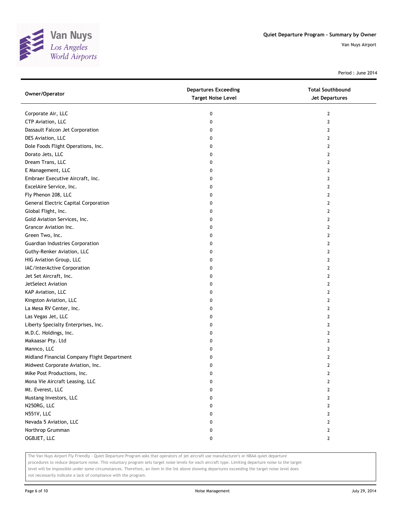

Period : June 2014

| <b>Departures Exceeding</b><br><b>Total Southbound</b><br>Owner/Operator<br><b>Target Noise Level</b><br><b>Jet Departures</b> |  |
|--------------------------------------------------------------------------------------------------------------------------------|--|
| Corporate Air, LLC<br>$\mathbf{2}$<br>0                                                                                        |  |
| CTP Aviation, LLC<br>$\mathbf{2}$<br>0                                                                                         |  |
| Dassault Falcon Jet Corporation<br>2<br>0                                                                                      |  |
| DES Aviation, LLC<br>2<br>0                                                                                                    |  |
| Dole Foods Flight Operations, Inc.<br>0<br>2                                                                                   |  |
| Dorato Jets, LLC<br>2<br>0                                                                                                     |  |
| Dream Trans, LLC<br>0<br>2                                                                                                     |  |
| E Management, LLC<br>2<br>0                                                                                                    |  |
| Embraer Executive Aircraft, Inc.<br>0<br>2                                                                                     |  |
| ExcelAire Service, Inc.<br>$\overline{2}$<br>0                                                                                 |  |
| Fly Phenon 208, LLC<br>$\overline{2}$<br>0                                                                                     |  |
| General Electric Capital Corporation<br>$\overline{2}$<br>0                                                                    |  |
| Global Flight, Inc.<br>2<br>0                                                                                                  |  |
| Gold Aviation Services, Inc.<br>2<br>0                                                                                         |  |
| Grancor Aviation Inc.<br>$\overline{2}$<br>0                                                                                   |  |
| Green Two, Inc.<br>2<br>0                                                                                                      |  |
| Guardian Industries Corporation<br>0<br>$\overline{2}$                                                                         |  |
| Guthy-Renker Aviation, LLC<br>0<br>2                                                                                           |  |
| HIG Aviation Group, LLC<br>0<br>2                                                                                              |  |
| IAC/InterActive Corporation<br>$\overline{2}$<br>0                                                                             |  |
| Jet Set Aircraft, Inc.<br>$\overline{2}$<br>0                                                                                  |  |
| JetSelect Aviation<br>0<br>$\overline{2}$                                                                                      |  |
| KAP Aviation, LLC<br>2<br>0                                                                                                    |  |
| Kingston Aviation, LLC<br>2<br>0                                                                                               |  |
| La Mesa RV Center, Inc.<br>$\overline{2}$<br>0                                                                                 |  |
| Las Vegas Jet, LLC<br>2<br>0                                                                                                   |  |
| Liberty Specialty Enterprises, Inc.<br>0<br>$\overline{2}$                                                                     |  |
| M.D.C. Holdings, Inc.<br>2<br>0                                                                                                |  |
| Makaasar Pty. Ltd<br>0<br>2                                                                                                    |  |
| Mannco, LLC<br>2<br>0                                                                                                          |  |
| Midland Financial Company Flight Department<br>2<br>0                                                                          |  |
| Midwest Corporate Aviation, Inc.<br>$\mathbf{2}$<br>0                                                                          |  |
| Mike Post Productions, Inc.<br>0<br>2                                                                                          |  |
| Mona Vie Aircraft Leasing, LLC<br>$\overline{2}$<br>0                                                                          |  |
| Mt. Everest, LLC<br>2<br>0                                                                                                     |  |
| Mustang Investors, LLC<br>$\overline{2}$<br>0                                                                                  |  |
| N250RG, LLC<br>2<br>0                                                                                                          |  |
| N551V, LLC<br>2<br>0                                                                                                           |  |
| Nevada 5 Aviation, LLC<br>2<br>0                                                                                               |  |
| Northrop Grumman<br>$\overline{2}$<br>0                                                                                        |  |
| OGBJET, LLC<br>$\mathbf{2}$<br>0                                                                                               |  |

The Van Nuys Airport Fly Friendly - Quiet Departure Program asks that operators of jet aircraft use manufacturer's or NBAA quiet departure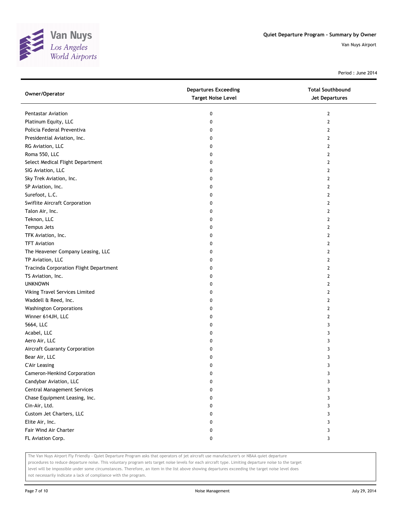

Period : June 2014

| Owner/Operator                         | <b>Departures Exceeding</b><br><b>Target Noise Level</b> | <b>Total Southbound</b><br>Jet Departures |
|----------------------------------------|----------------------------------------------------------|-------------------------------------------|
| <b>Pentastar Aviation</b>              | 0                                                        | $\overline{2}$                            |
| Platinum Equity, LLC                   | 0                                                        | $\overline{2}$                            |
| Policia Federal Preventiva             | 0                                                        | $\overline{2}$                            |
| Presidential Aviation, Inc.            | 0                                                        | $\overline{2}$                            |
| RG Aviation, LLC                       | 0                                                        | 2                                         |
| Roma 550, LLC                          | 0                                                        | 2                                         |
| Select Medical Flight Department       | 0                                                        | $\overline{2}$                            |
| SIG Aviation, LLC                      | 0                                                        | $\overline{2}$                            |
| Sky Trek Aviation, Inc.                | 0                                                        | $\overline{2}$                            |
| SP Aviation, Inc.                      | 0                                                        | $\overline{2}$                            |
| Surefoot, L.C.                         | 0                                                        | $\overline{2}$                            |
| Swiflite Aircraft Corporation          | 0                                                        | $\overline{2}$                            |
| Talon Air, Inc.                        | 0                                                        | $\overline{2}$                            |
| Teknon, LLC                            | 0                                                        | $\overline{2}$                            |
| Tempus Jets                            | 0                                                        | $\overline{2}$                            |
| TFK Aviation, Inc.                     | 0                                                        | 2                                         |
| <b>TFT Aviation</b>                    | 0                                                        | 2                                         |
| The Heavener Company Leasing, LLC      | 0                                                        | $\overline{2}$                            |
| TP Aviation, LLC                       | 0                                                        | $\overline{2}$                            |
| Tracinda Corporation Flight Department | 0                                                        | $\overline{2}$                            |
| TS Aviation, Inc.                      | 0                                                        | $\mathbf{2}$                              |
| <b>UNKNOWN</b>                         | 0                                                        | $\overline{2}$                            |
| Viking Travel Services Limited         | 0                                                        | $\overline{2}$                            |
| Waddell & Reed, Inc.                   | 0                                                        | $\overline{2}$                            |
| <b>Washington Corporations</b>         | 0                                                        | 2                                         |
| Winner 614JH, LLC                      | 0                                                        | 2                                         |
| 5664, LLC                              | 0                                                        | 3                                         |
| Acabel, LLC                            | 0                                                        | 3                                         |
| Aero Air, LLC                          | 0                                                        | 3                                         |
| <b>Aircraft Guaranty Corporation</b>   | 0                                                        | 3                                         |
| Bear Air, LLC                          | 0                                                        | 3                                         |
| <b>C'Air Leasing</b>                   | 0                                                        | 3                                         |
| Cameron-Henkind Corporation            | 0                                                        | 3                                         |
| Candybar Aviation, LLC                 | 0                                                        | 3                                         |
| <b>Central Management Services</b>     | 0                                                        | 3                                         |
| Chase Equipment Leasing, Inc.          | 0                                                        | 3                                         |
| Cin-Air, Ltd.                          | 0                                                        | 3                                         |
| Custom Jet Charters, LLC               | 0                                                        | 3                                         |
| Elite Air, Inc.                        | 0                                                        | 3                                         |
| Fair Wind Air Charter                  | 0                                                        | 3                                         |
| FL Aviation Corp.                      | 0                                                        | 3                                         |

The Van Nuys Airport Fly Friendly - Quiet Departure Program asks that operators of jet aircraft use manufacturer's or NBAA quiet departure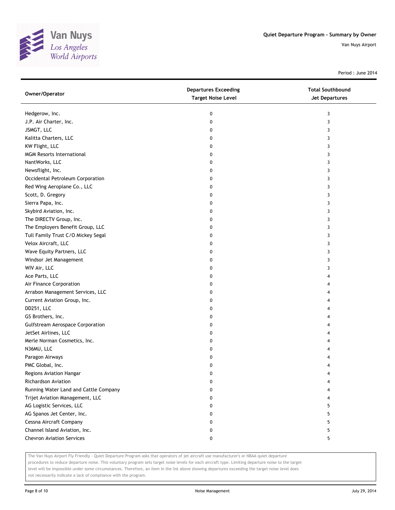

Period : June 2014

| Owner/Operator                        | <b>Departures Exceeding</b><br><b>Target Noise Level</b> | <b>Total Southbound</b><br><b>Jet Departures</b> |
|---------------------------------------|----------------------------------------------------------|--------------------------------------------------|
| Hedgerow, Inc.                        | 0                                                        | 3                                                |
| J.P. Air Charter, Inc.                | 0                                                        | 3                                                |
| JSMGT, LLC                            | 0                                                        | 3                                                |
| Kalitta Charters, LLC                 | 0                                                        | 3                                                |
| KW Flight, LLC                        | 0                                                        | 3                                                |
| <b>MGM Resorts International</b>      | 0                                                        | 3                                                |
| NantWorks, LLC                        | 0                                                        | 3                                                |
| Newsflight, Inc.                      | 0                                                        | 3                                                |
| Occidental Petroleum Corporation      | 0                                                        | 3                                                |
| Red Wing Aeroplane Co., LLC           | 0                                                        | 3                                                |
| Scott, D. Gregory                     | 0                                                        | 3                                                |
| Sierra Papa, Inc.                     | 0                                                        | 3                                                |
| Skybird Aviation, Inc.                | 0                                                        | 3                                                |
| The DIRECTV Group, Inc.               | 0                                                        | 3                                                |
| The Employers Benefit Group, LLC      | 0                                                        | 3                                                |
| Tull Family Trust C/O Mickey Segal    | 0                                                        | 3                                                |
| Velox Aircraft, LLC                   | 0                                                        | 3                                                |
| Wave Equity Partners, LLC             | 0                                                        | 3                                                |
| Windsor Jet Management                | 0                                                        | 3                                                |
| WIV Air, LLC                          | 0                                                        | 3                                                |
| Ace Parts, LLC                        | 0                                                        | 4                                                |
| Air Finance Corporation               | 0                                                        | 4                                                |
| Arrabon Management Services, LLC      | 0                                                        | 4                                                |
| Current Aviation Group, Inc.          | 0                                                        | 4                                                |
| DD251, LLC                            | 0                                                        | 4                                                |
| GS Brothers, Inc.                     | 0                                                        | 4                                                |
| Gulfstream Aerospace Corporation      | 0                                                        | 4                                                |
| JetSet Airlines, LLC                  | 0                                                        | 4                                                |
| Merle Norman Cosmetics, Inc.          | 0                                                        | 4                                                |
| N36MU, LLC                            | 0                                                        | 4                                                |
| Paragon Airways                       | 0                                                        | 4                                                |
| PMC Global, Inc.                      | 0                                                        | 4                                                |
| Regions Aviation Hangar               | 0                                                        | 4                                                |
| <b>Richardson Aviation</b>            | 0                                                        | 4                                                |
| Running Water Land and Cattle Company | 0                                                        | 4                                                |
| Trijet Aviation Management, LLC       | 0                                                        | 4                                                |
| AG Logistic Services, LLC             | 0                                                        | 5                                                |
| AG Spanos Jet Center, Inc.            | 0                                                        | 5                                                |
| Cessna Aircraft Company               | 0                                                        | 5                                                |
| Channel Island Aviation, Inc.         | 0                                                        | 5                                                |
| <b>Chevron Aviation Services</b>      | 0                                                        | 5                                                |

The Van Nuys Airport Fly Friendly - Quiet Departure Program asks that operators of jet aircraft use manufacturer's or NBAA quiet departure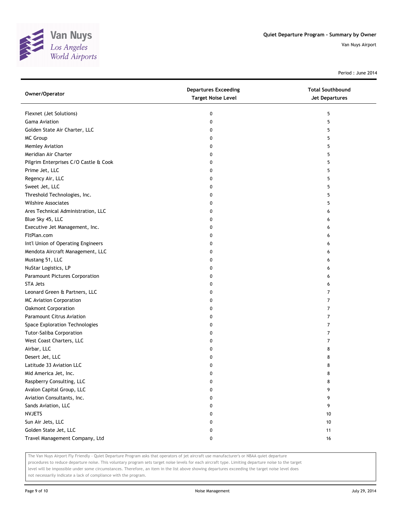

Period : June 2014

| Owner/Operator                        | <b>Departures Exceeding</b><br><b>Target Noise Level</b> | <b>Total Southbound</b><br><b>Jet Departures</b> |
|---------------------------------------|----------------------------------------------------------|--------------------------------------------------|
| Flexnet (Jet Solutions)               | 0                                                        | 5                                                |
| <b>Gama Aviation</b>                  | 0                                                        | 5                                                |
| Golden State Air Charter, LLC         | 0                                                        | 5                                                |
| MC Group                              | 0                                                        | 5                                                |
| Memley Aviation                       | 0                                                        | 5                                                |
| Meridian Air Charter                  | 0                                                        | 5                                                |
| Pilgrim Enterprises C/O Castle & Cook | 0                                                        | 5                                                |
| Prime Jet, LLC                        | 0                                                        | 5                                                |
| Regency Air, LLC                      | 0                                                        | 5                                                |
| Sweet Jet, LLC                        | 0                                                        | 5                                                |
| Threshold Technologies, Inc.          | 0                                                        | 5                                                |
| <b>Wilshire Associates</b>            | 0                                                        | 5                                                |
| Ares Technical Administration, LLC    | 0                                                        | 6                                                |
| Blue Sky 45, LLC                      | 0                                                        | 6                                                |
| Executive Jet Management, Inc.        | 0                                                        | 6                                                |
| FltPlan.com                           | 0                                                        | 6                                                |
| Int'l Union of Operating Engineers    | 0                                                        | 6                                                |
| Mendota Aircraft Management, LLC      | 0                                                        | 6                                                |
| Mustang 51, LLC                       | 0                                                        | 6                                                |
| NuStar Logistics, LP                  | 0                                                        | 6                                                |
| Paramount Pictures Corporation        | 0                                                        | 6                                                |
| <b>STA Jets</b>                       | 0                                                        | 6                                                |
| Leonard Green & Partners, LLC         | 0                                                        | 7                                                |
| <b>MC Aviation Corporation</b>        | 0                                                        | 7                                                |
| Oakmont Corporation                   | 0                                                        | 7                                                |
| Paramount Citrus Aviation             | 0                                                        | 7                                                |
| Space Exploration Technologies        | 0                                                        | 7                                                |
| Tutor-Saliba Corporation              | 0                                                        | 7                                                |
| West Coast Charters, LLC              | 0                                                        | 7                                                |
| Airbar, LLC                           | 0                                                        | 8                                                |
| Desert Jet, LLC                       | 0                                                        | 8                                                |
| Latitude 33 Aviation LLC              | 0                                                        | 8                                                |
| Mid America Jet, Inc.                 | 0                                                        | 8                                                |
| Raspberry Consulting, LLC             | 0                                                        | 8                                                |
| Avalon Capital Group, LLC             | 0                                                        | 9                                                |
| Aviation Consultants, Inc.            | 0                                                        | 9                                                |
| Sands Aviation, LLC                   | 0                                                        | 9                                                |
| <b>NVJETS</b>                         | 0                                                        | 10                                               |
| Sun Air Jets, LLC                     | 0                                                        | 10                                               |
| Golden State Jet, LLC                 | 0                                                        | 11                                               |
| Travel Management Company, Ltd        | 0                                                        | 16                                               |

The Van Nuys Airport Fly Friendly - Quiet Departure Program asks that operators of jet aircraft use manufacturer's or NBAA quiet departure